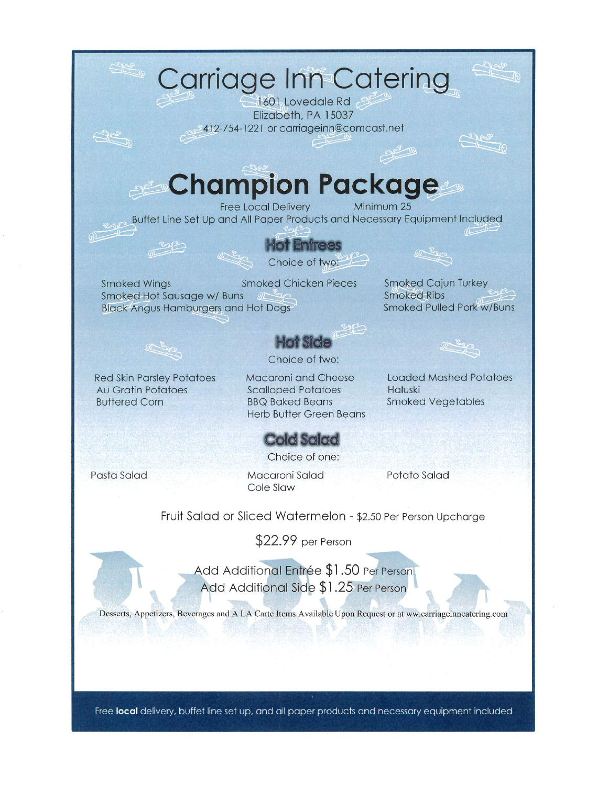

Free local delivery, buffet line set up, and all paper products and necessary equipment included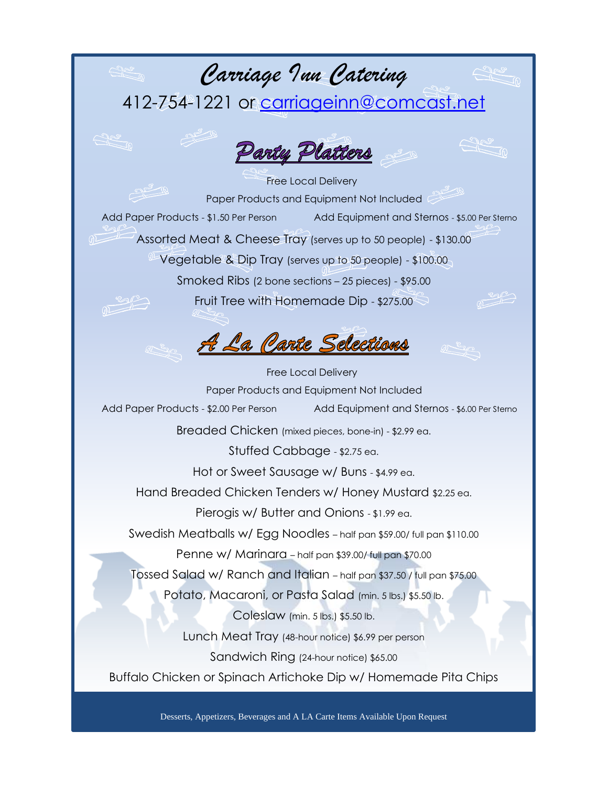### *Carriage Inn Catering*

412-754-1221 or [carriageinn@comcast.net](mailto:carriageinn@comcast.net)



 Free Local Delivery Paper Products and Equipment Not Included Add Paper Products - \$1.50 Per Person Add Equipment and Sternos - \$5.00 Per Sternos Assorted Meat & Cheese Tray (serves up to 50 people) - \$130.00  $^{\circ\prime\prime}$  Vegetable & Dip Tray (serves up to 50 people) - \$100.00 Smoked Ribs (2 bone sections – 25 pieces) - \$95.00 Fruit Tree with Homemade Dip - \$275.00

A La Carte Selections

 Free Local Delivery Paper Products and Equipment Not Included Add Paper Products - \$2.00 Per Person Add Equipment and Sternos - \$6.00 Per Sterno Breaded Chicken (mixed pieces, bone-in) - \$2.99 ea. Stuffed Cabbage - \$2.75 ea. Hot or Sweet Sausage w/ Buns - \$4.99 ea. Hand Breaded Chicken Tenders w/ Honey Mustard \$2.25 ea. Pierogis w/ Butter and Onions - \$1.99 ea. Swedish Meatballs w/ Egg Noodles – half pan \$59.00/ full pan \$110.00 Penne w/ Marinara – half pan \$39.00/ full pan \$70.00 Tossed Salad w/ Ranch and Italian – half pan \$37.50 / full pan \$75.00 Potato, Macaroni, or Pasta Salad (min. 5 lbs.) \$5.50 lb. Coleslaw (min. 5 lbs.) \$5.50 lb. Lunch Meat Tray (48-hour notice) \$6.99 per person Sandwich Ring (24-hour notice) \$65.00 Buffalo Chicken or Spinach Artichoke Dip w/ Homemade Pita Chips

Desserts, Appetizers, Beverages and A LA Carte Items Available Upon Request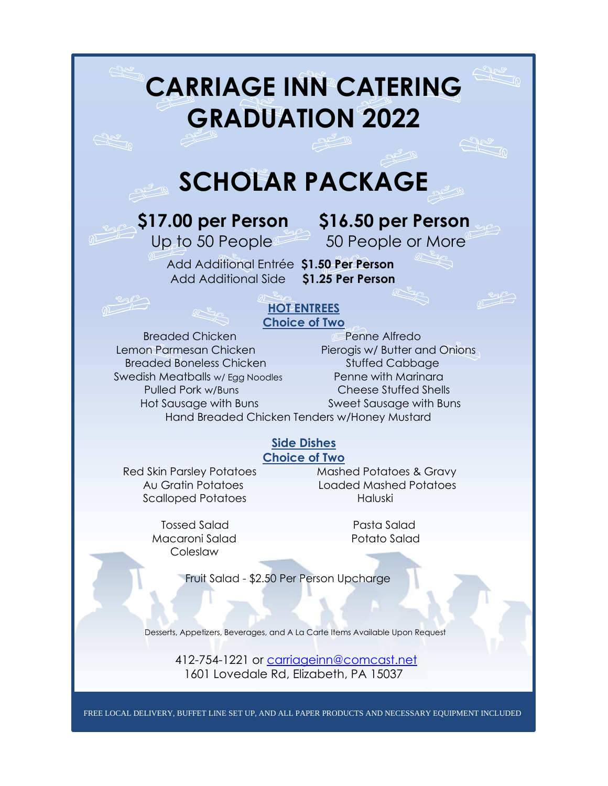# **CARRIAGE INN CATERING GRADUATION 2022**

## **SCHOLAR PACKAGE**

**\$17.00 per Person \$16.50 per Person** Up to 50 Peoples 50 People or More

 Add Additional Entrée **\$1.50 Per Person** Add Additional Side **\$1.25 Per Person**

### **HOT ENTREES Choice of Two**

Breaded Chicken **Penne Alfredo** Lemon Parmesan Chicken Pierogis w/ Butter and Onions Breaded Boneless Chicken Stuffed Cabbage Swedish Meatballs w/ Egg Noodles Penne with Marinara Pulled Pork w/Buns Cheese Stuffed Shells Hot Sausage with Buns Sweet Sausage with Buns

Hand Breaded Chicken Tenders w/Honey Mustard

### **Side Dishes**

**Choice of Two**

Scalloped Potatoes Haluski

 Tossed Salad Pasta Salad Macaroni Salad Potato Salad Coleslaw

l

Red Skin Parsley Potatoes Mashed Potatoes & Gravy Au Gratin Potatoes Loaded Mashed Potatoes

Fruit Salad - \$2.50 Per Person Upcharge

Desserts, Appetizers, Beverages, and A La Carte Items Available Upon Request

 412-754-1221 or [carriageinn@comcast.net](mailto:carriageinn@comcast.net) 1601 Lovedale Rd, Elizabeth, PA 15037

FREE LOCAL DELIVERY, BUFFET LINE SET UP, AND ALL PAPER PRODUCTS AND NECESSARY EQUIPMENT INCLUDED